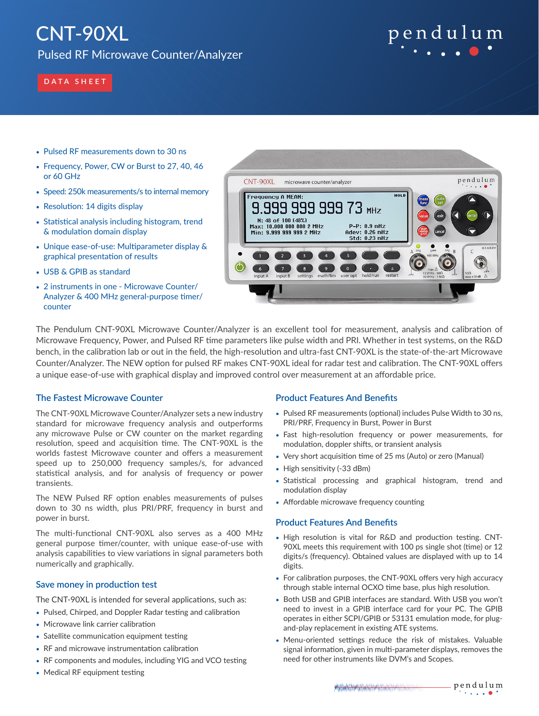# CNT-90XL

Pulsed RF Microwave Counter/Analyzer



## **DATA SHEET**

- Pulsed RF measurements down to 30 ns
- Frequency, Power, CW or Burst to 27, 40, 46 or 60 GHz
- Speed: 250k measurements/s to internal memory
- Resolution: 14 digits display
- Statistical analysis including histogram, trend & modulation domain display
- Unique ease-of-use: Multiparameter display & graphical presentation of results
- USB & GPIB as standard
- 2 instruments in one Microwave Counter/ Analyzer & 400 MHz general-purpose timer/ counter



The Pendulum CNT-90XL Microwave Counter/Analyzer is an excellent tool for measurement, analysis and calibration of Microwave Frequency, Power, and Pulsed RF time parameters like pulse width and PRI. Whether in test systems, on the R&D bench, in the calibration lab or out in the field, the high-resolution and ultra-fast CNT-90XL is the state-of-the-art Microwave Counter/Analyzer. The NEW option for pulsed RF makes CNT-90XL ideal for radar test and calibration. The CNT-90XL offers a unique ease-of-use with graphical display and improved control over measurement at an affordable price.

## **The Fastest Microwave Counter**

The CNT-90XL Microwave Counter/Analyzer sets a new industry standard for microwave frequency analysis and outperforms any microwave Pulse or CW counter on the market regarding resolution, speed and acquisition time. The CNT-90XL is the worlds fastest Microwave counter and offers a measurement speed up to 250,000 frequency samples/s, for advanced statistical analysis, and for analysis of frequency or power transients.

The NEW Pulsed RF option enables measurements of pulses down to 30 ns width, plus PRI/PRF, frequency in burst and power in burst.

The multi-functional CNT-90XL also serves as a 400 MHz general purpose timer/counter, with unique ease-of-use with analysis capabilities to view variations in signal parameters both numerically and graphically.

## **Save money in production test**

The CNT-90XL is intended for several applications, such as:

- Pulsed, Chirped, and Doppler Radar testing and calibration
- Microwave link carrier calibration
- Satellite communication equipment testing
- RF and microwave instrumentation calibration
- RF components and modules, including YIG and VCO testing
- Medical RF equipment testing

## **Product Features And Benefits**

- Pulsed RF measurements (optional) includes Pulse Width to 30 ns, PRI/PRF, Frequency in Burst, Power in Burst
- Fast high-resolution frequency or power measurements, for modulation, doppler shifts, or transient analysis
- Very short acquisition time of 25 ms (Auto) or zero (Manual)
- High sensitivity (-33 dBm)
- Statistical processing and graphical histogram, trend and modulation display
- Affordable microwave frequency counting

## **Product Features And Benefits**

- High resolution is vital for R&D and production testing. CNT-90XL meets this requirement with 100 ps single shot (time) or 12 digits/s (frequency). Obtained values are displayed with up to 14 digits.
- For calibration purposes, the CNT-90XL offers very high accuracy through stable internal OCXO time base, plus high resolution.
- Both USB and GPIB interfaces are standard. With USB you won't need to invest in a GPIB interface card for your PC. The GPIB operates in either SCPI/GPIB or 53131 emulation mode, for plugand-play replacement in existing ATE systems.
- Menu-oriented settings reduce the risk of mistakes. Valuable signal information, given in multi-parameter displays, removes the need for other instruments like DVM's and Scopes.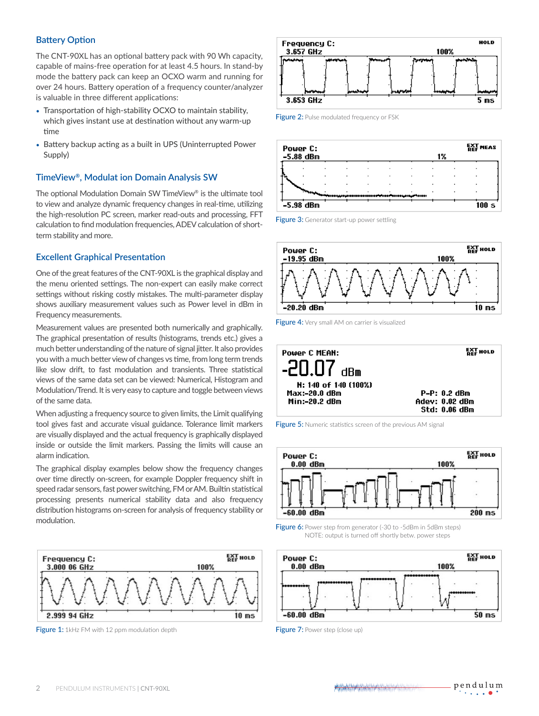## **Battery Option**

The CNT-90XL has an optional battery pack with 90 Wh capacity, capable of mains-free operation for at least 4.5 hours. In stand-by mode the battery pack can keep an OCXO warm and running for over 24 hours. Battery operation of a frequency counter/analyzer is valuable in three different applications:

- Transportation of high-stability OCXO to maintain stability, which gives instant use at destination without any warm-up time
- Battery backup acting as a built in UPS (Uninterrupted Power Supply)

## **TimeView®, Modulat ion Domain Analysis SW**

The optional Modulation Domain SW TimeView® is the ultimate tool to view and analyze dynamic frequency changes in real-time, utilizing the high-resolution PC screen, marker read-outs and processing, FFT calculation to find modulation frequencies, ADEV calculation of shortterm stability and more.

## **Excellent Graphical Presentation**

One of the great features of the CNT-90XL is the graphical display and the menu oriented settings. The non-expert can easily make correct settings without risking costly mistakes. The multi-parameter display shows auxiliary measurement values such as Power level in dBm in Frequency measurements.

Measurement values are presented both numerically and graphically. The graphical presentation of results (histograms, trends etc.) gives a much better understanding of the nature of signal jitter. It also provides you with a much better view of changes vs time, from long term trends like slow drift, to fast modulation and transients. Three statistical views of the same data set can be viewed: Numerical, Histogram and Modulation/Trend. It is very easy to capture and toggle between views of the same data.

When adjusting a frequency source to given limits, the Limit qualifying tool gives fast and accurate visual guidance. Tolerance limit markers are visually displayed and the actual frequency is graphically displayed inside or outside the limit markers. Passing the limits will cause an alarm indication.

The graphical display examples below show the frequency changes over time directly on-screen, for example Doppler frequency shift in speed radar sensors, fast power switching, FM or AM. Builtin statistical processing presents numerical stability data and also frequency distribution histograms on-screen for analysis of frequency stability or modulation.



**Figure 1:** 1kHz FM with 12 ppm modulation depth Figure 7: Power step (close up)



**Figure 2:** Pulse modulated frequency or FSK



Figure 3: Generator start-up power settling



Figure 4: Very small AM on carrier is visualized



Figure 5: Numeric statistics screen of the previous AM signal



Figure 6: Power step from generator (-30 to -5dBm in 5dBm steps) NOTE: output is turned off shortly betw. power steps

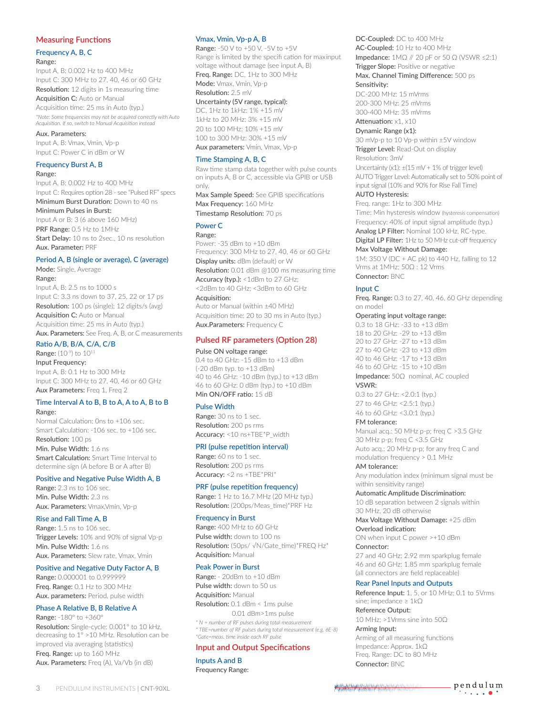## **Measuring Functions**

## Frequency A, B, C

#### Range:

Input A, B: 0.002 Hz to 400 MHz Input C: 300 MHz to 27, 40, 46 or 60 GHz Resolution: 12 digits in 1s measuring time

Acquisition C: Auto or Manual

Acquisition time: 25 ms in Auto (typ.) *\*Note: Some frequencies may not be acquired correctly with Auto Acquisition. If so, switch to Manual Acquisition instead*

Aux. Parameters: Input A, B: Vmax, Vmin, Vp-p Input C: Power C in dBm or W

## Frequency Burst A, B

#### Range:

Input A, B: 0.002 Hz to 400 MHz Input C: Requires option 28 - see "Pulsed RF" specs Minimum Burst Duration: Down to 40 ns Minimum Pulses in Burst:

Input A or B: 3 (6 above 160 MHz) PRF Range: 0.5 Hz to 1MHz Start Delay: 10 ns to 2sec., 10 ns resolution Aux. Parameter: PRF

## Period A, B (single or average), C (average)

Mode: Single, Average Range: Input A, B: 2.5 ns to 1000 s Input C: 3.3 ns down to 37, 25, 22 or 17 ps Resolution: 100 ps (single); 12 digits/s (avg) Acquisition C: Auto or Manual Acquisition time: 25 ms in Auto (typ.) Aux. Parameters: See Freq. A, B, or C measurements

## Ratio A/B, B/A, C/A, C/B

Range: (10-9) to 10<sup>11</sup>

Input Frequency:

Input A, B: 0.1 Hz to 300 MHz Input C: 300 MHz to 27, 40, 46 or 60 GHz Aux Parameters: Freq 1, Freq 2

#### Time Interval A to B, B to A, A to A, B to B Range:

Normal Calculation: 0ns to +106 sec. Smart Calculation: -106 sec. to +106 sec. Resolution: 100 ps

Min. Pulse Width: 1.6 ns Smart Calculation: Smart Time Interval to determine sign (A before B or A after B)

## Positive and Negative Pulse Width A, B

Range: 2.3 ns to 106 sec. Min. Pulse Width: 2.3 ns Aux. Parameters: Vmax,Vmin, Vp-p

## Rise and Fall Time A, B

Range: 1.5 ns to 106 sec. Trigger Levels: 10% and 90% of signal Vp-p Min. Pulse Width: 1.6 ns Aux. Parameters: Slew rate, Vmax, Vmin

## Positive and Negative Duty Factor A, B

Range: 0.000001 to 0.999999 Freq. Range: 0.1 Hz to 300 MHz Aux. parameters: Period, pulse width

## Phase A Relative B, B Relative A

Range: -180° to +360° Resolution: Single-cycle: 0.001° to 10 kHz, decreasing to 1° >10 MHz. Resolution can be improved via averaging (statistics) Freq. Range: up to 160 MHz Aux. Parameters: Freq (A), Va/Vb (in dB)

## Vmax, Vmin, Vp-p A, B

Range: -50 V to +50 V, -5V to +5V Range is limited by the specifi cation for maxinput voltage without damage (see input A, B) Freq. Range: DC, 1Hz to 300 MHz Mode: Vmax, Vmin, Vp-p Resolution: 2.5 mV

## Uncertainty (5V range, typical):

DC, 1Hz to 1kHz: 1% +15 mV 1kHz to 20 MHz: 3% +15 mV 20 to 100 MHz: 10% +15 mV 100 to 300 MHz: 30% +15 mV Aux parameters: Vmin, Vmax, Vp-p

## Time Stamping A, B, C

Raw time stamp data together with pulse counts on inputs A, B or C, accessible via GPIB or USB only.

Max Sample Speed: See GPIB specifications Max Frequency: 160 MHz

Timestamp Resolution: 70 ps

## Power C

Range:

Power: -35 dBm to +10 dBm Frequency: 300 MHz to 27, 40, 46 or 60 GHz Display units: dBm (default) or W Resolution: 0.01 dBm @100 ms measuring time Accuracy (typ.): <1dBm to 27 GHz; <2dBm to 40 GHz; <3dBm to 60 GHz Acquisition:

Auto or Manual (within ±40 MHz) Acquisition time: 20 to 30 ms in Auto (typ.) Aux.Parameters: Frequency C

## **Pulsed RF parameters (Option 28)**

## Pulse ON voltage range:

0.4 to 40 GHz: -15 dBm to +13 dBm (-20 dBm typ. to +13 dBm) 40 to 46 GHz: -10 dBm (typ.) to +13 dBm 46 to 60 GHz: 0 dBm (typ.) to +10 dBm Min ON/OFF ratio: 15 dB

## Pulse Width

Range: 30 ns to 1 sec. Resolution: 200 ps rms Accuracy: <10 ns+TBE\*P\_width

## PRI (pulse repetition interval)

Range: 60 ns to 1 sec. Resolution: 200 ps rms Accuracy: <2 ns +TBE\*PRI\*

#### PRF (pulse repetition frequency)

Range: 1 Hz to 16.7 MHz (20 MHz typ.) Resolution: (200ps/Meas\_time)\*PRF Hz

#### Frequency in Burst

Range: 400 MHz to 60 GHz Pulse width: down to 100 ns Resolution: (50ps/ √N/Gate\_time)\*FREQ Hz\* Acquisition: Manual

#### Peak Power in Burst

Range: - 20dBm to +10 dBm Pulse width: down to 50 us **Acquisition: Manual** Resolution: 0.1 dBm < 1ms pulse 0.01 dBm>1ms pulse

*\* N = number of RF pulses during total measurement \* TBE=number of RF pulses during total measurement (e.g. 6E-8) \*Gate=meas. time inside each RF pulse*

## **Input and Output Specifications**

Inputs A and B Frequency Range:

## DC-Coupled: DC to 400 MHz AC-Coupled: 10 Hz to 400 MHz Impedance:  $1M\Omega$  // 20 pF or 50  $\Omega$  (VSWR ≤2:1)

Trigger Slope: Positive or negative

Max. Channel Timing Difference: 500 ps Sensitivity:

DC-200 MHz: 15 mVrms 200-300 MHz: 25 mVrms 300-400 MHz: 35 mVrms

## Attenuation: x1, x10

Dynamic Range (x1): 30 mVp-p to 10 Vp-p within ±5V window

Trigger Level: Read-Out on display Resolution: 3mV

Uncertainty (x1): ±(15 mV + 1% of trigger level) AUTO Trigger Level: Automatically set to 50% point of input signal (10% and 90% for Rise Fall Time) AUTO Hysteresis:

Freq. range: 1Hz to 300 MHz Time: Min hysteresis window (hysteresis compensation) Frequency: 40% of input signal amplitude (typ.) Analog LP Filter: Nominal 100 kHz, RC-type. Digital LP Filter: 1Hz to 50 MHz cut-off frequency

## Max Voltage Without Damage:

1M: 350 V (DC + AC pk) to 440 Hz, falling to 12 Vrms at 1MHz; 50Ω : 12 Vrms Connector: BNC

## Input C

Freq. Range: 0.3 to 27, 40, 46, 60 GHz depending on model

## Operating input voltage range:

0.3 to 18 GHz: -33 to +13 dBm 18 to 20 GHz: -29 to +13 dBm 20 to 27 GHz: -27 to +13 dBm 27 to 40 GHz: -23 to +13 dBm 40 to 46 GHz: -17 to +13 dBm 46 to 60 GHz: -15 to +10 dBm

## Impedance: 50Ω nominal, AC coupled VSWR:

0.3 to 27 GHz: <2.0:1 (typ.) 27 to 46 GHz: <2.5:1 (typ.) 46 to 60 GHz: <3.0:1 (typ.)

## FM tolerance:

Manual acq.: 50 MHz p-p; freq C >3.5 GHz 30 MHz p-p; freq C <3.5 GHz Auto acq.: 20 MHz p-p; for any freq C and modulation frequency > 0.1 MHz

## AM tolerance:

Any modulation index (minimum signal must be within sensitivity range)

## Automatic Amplitude Discrimination:

10 dB separation between 2 signals within 30 MHz, 20 dB otherwise

## Max Voltage Without Damage: +25 dBm Overload indication:

ON when input C power >+10 dBm Connector:

27 and 40 GHz: 2.92 mm sparkplug female 46 and 60 GHz: 1.85 mm sparkplug female (all connectors are field replaceable)

#### Rear Panel Inputs and Outputs

Reference Input: 1, 5, or 10 MHz; 0.1 to 5Vrms sine; impedance ≥ 1kΩ

Reference Output:

10 MHz; >1Vrms sine into 50Ω Arming Input:

## Arming of all measuring functions Impedance: Approx. 1kΩ Freq. Range: DC to 80 MHz Connector: BNC